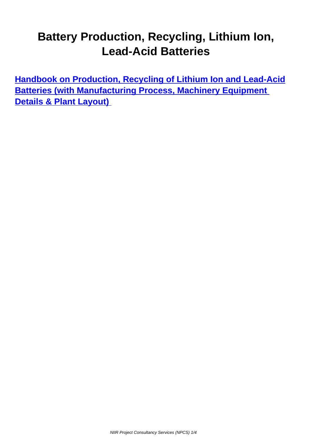## **Battery Production, Recycling, Lithium Ion, Lead-Acid Batteries**

**Handbook on Production, Recycling of Lithium Ion and Lead-Acid Batteries (with Manufacturing Process, Machinery Equipment [Details & Plant Layout\)](/books/book/handbook-on-production-recycling-lithium-ion-lead-acid-batteries-with-manufacturing-process-machinery-equipment-details-plant-layout/isbn-9788195577507/zb,,18bd9,a,89,0,3e8/index.html)**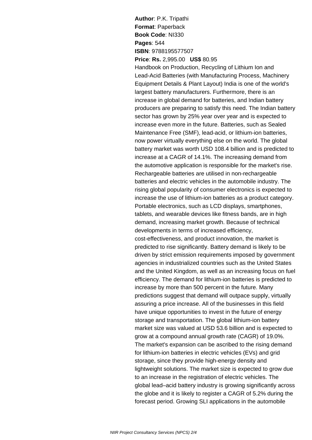**Author**: P.K. Tripathi **Format**: Paperback **Book Code**: NI330 **Pages**: 544 **ISBN**: 9788195577507

**Price**: **Rs.** 2,995.00 **US\$** 80.95

Handbook on Production, Recycling of Lithium Ion and Lead-Acid Batteries (with Manufacturing Process, Machinery Equipment Details & Plant Layout) India is one of the world's largest battery manufacturers. Furthermore, there is an increase in global demand for batteries, and Indian battery producers are preparing to satisfy this need. The Indian battery sector has grown by 25% year over year and is expected to increase even more in the future. Batteries, such as Sealed Maintenance Free (SMF), lead-acid, or lithium-ion batteries, now power virtually everything else on the world. The global battery market was worth USD 108.4 billion and is predicted to increase at a CAGR of 14.1%. The increasing demand from the automotive application is responsible for the market's rise. Rechargeable batteries are utilised in non-rechargeable batteries and electric vehicles in the automobile industry. The rising global popularity of consumer electronics is expected to increase the use of lithium-ion batteries as a product category. Portable electronics, such as LCD displays, smartphones, tablets, and wearable devices like fitness bands, are in high demand, increasing market growth. Because of technical developments in terms of increased efficiency, cost-effectiveness, and product innovation, the market is predicted to rise significantly. Battery demand is likely to be driven by strict emission requirements imposed by government agencies in industrialized countries such as the United States and the United Kingdom, as well as an increasing focus on fuel efficiency. The demand for lithium-ion batteries is predicted to increase by more than 500 percent in the future. Many predictions suggest that demand will outpace supply, virtually assuring a price increase. All of the businesses in this field have unique opportunities to invest in the future of energy storage and transportation. The global lithium-ion battery market size was valued at USD 53.6 billion and is expected to grow at a compound annual growth rate (CAGR) of 19.0%. The market's expansion can be ascribed to the rising demand for lithium-ion batteries in electric vehicles (EVs) and grid storage, since they provide high-energy density and lightweight solutions. The market size is expected to grow due to an increase in the registration of electric vehicles. The global lead–acid battery industry is growing significantly across the globe and it is likely to register a CAGR of 5.2% during the forecast period. Growing SLI applications in the automobile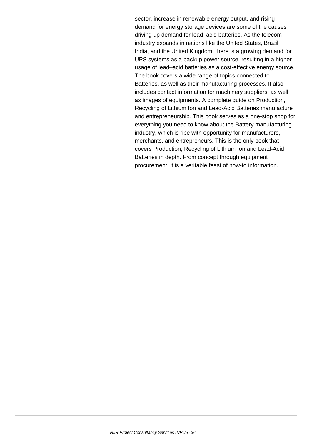sector, increase in renewable energy output, and rising demand for energy storage devices are some of the causes driving up demand for lead–acid batteries. As the telecom industry expands in nations like the United States, Brazil, India, and the United Kingdom, there is a growing demand for UPS systems as a backup power source, resulting in a higher usage of lead–acid batteries as a cost-effective energy source. The book covers a wide range of topics connected to Batteries, as well as their manufacturing processes. It also includes contact information for machinery suppliers, as well as images of equipments. A complete guide on Production, Recycling of Lithium Ion and Lead-Acid Batteries manufacture and entrepreneurship. This book serves as a one-stop shop for everything you need to know about the Battery manufacturing industry, which is ripe with opportunity for manufacturers, merchants, and entrepreneurs. This is the only book that covers Production, Recycling of Lithium Ion and Lead-Acid Batteries in depth. From concept through equipment procurement, it is a veritable feast of how-to information.